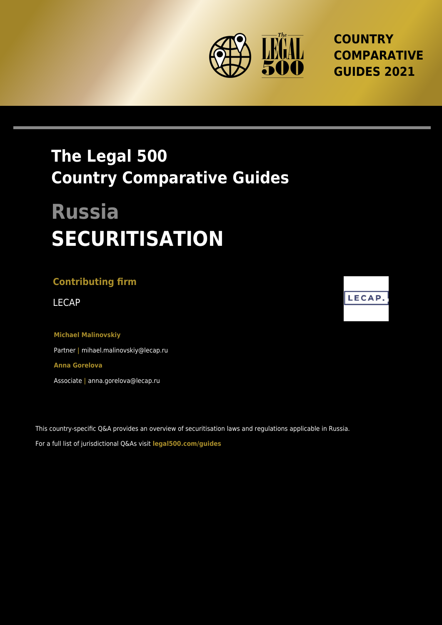

**COUNTRY COMPARATIVE GUIDES 2021**

## **The Legal 500 Country Comparative Guides**

# **Russia SECURITISATION**

### **Contributing firm**

**Michael Malinovskiy** Partner **|** mihael.malinovskiy@lecap.ru **Anna Gorelova** Associate **|** anna.gorelova@lecap.ru

This country-specific Q&A provides an overview of securitisation laws and regulations applicable in Russia. For a full list of jurisdictional Q&As visit **[legal500.com/guides](https://www.legal500.com/guides/)**

LECAP LECAP.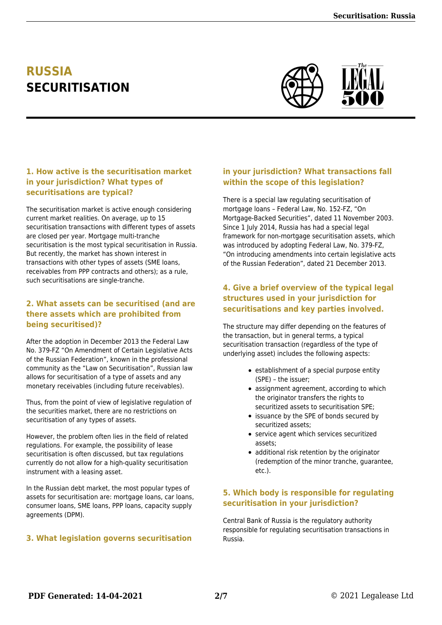## **RUSSIA SECURITISATION**



#### **1. How active is the securitisation market in your jurisdiction? What types of securitisations are typical?**

The securitisation market is active enough considering current market realities. On average, up to 15 securitisation transactions with different types of assets are closed per year. Mortgage multi-tranche securitisation is the most typical securitisation in Russia. But recently, the market has shown interest in transactions with other types of assets (SME loans, receivables from PPP contracts and others); as a rule, such securitisations are single-tranche.

#### **2. What assets can be securitised (and are there assets which are prohibited from being securitised)?**

After the adoption in December 2013 the Federal Law No. 379-FZ "On Amendment of Certain Legislative Acts of the Russian Federation", known in the professional community as the "Law on Securitisation", Russian law allows for securitisation of a type of assets and any monetary receivables (including future receivables).

Thus, from the point of view of legislative regulation of the securities market, there are no restrictions on securitisation of any types of assets.

However, the problem often lies in the field of related regulations. For example, the possibility of lease securitisation is often discussed, but tax regulations currently do not allow for a high-quality securitisation instrument with a leasing asset.

In the Russian debt market, the most popular types of assets for securitisation are: mortgage loans, car loans, consumer loans, SME loans, PPP loans, capacity supply agreements (DPM).

#### **3. What legislation governs securitisation**

#### **in your jurisdiction? What transactions fall within the scope of this legislation?**

There is a special law regulating securitisation of mortgage loans – Federal Law, No. 152-FZ, "On Mortgage-Backed Securities", dated 11 November 2003. Since 1 July 2014, Russia has had a special legal framework for non-mortgage securitisation assets, which was introduced by adopting Federal Law, No. 379-FZ, "On introducing amendments into certain legislative acts of the Russian Federation", dated 21 December 2013.

#### **4. Give a brief overview of the typical legal structures used in your jurisdiction for securitisations and key parties involved.**

The structure may differ depending on the features of the transaction, but in general terms, a typical securitisation transaction (regardless of the type of underlying asset) includes the following aspects:

- establishment of a special purpose entity (SPE) – the issuer;
- assignment agreement, according to which the originator transfers the rights to securitized assets to securitisation SPE;
- issuance by the SPE of bonds secured by securitized assets;
- service agent which services securitized assets;
- additional risk retention by the originator (redemption of the minor tranche, guarantee, etc.).

#### **5. Which body is responsible for regulating securitisation in your jurisdiction?**

Central Bank of Russia is the regulatory authority responsible for regulating securitisation transactions in Russia.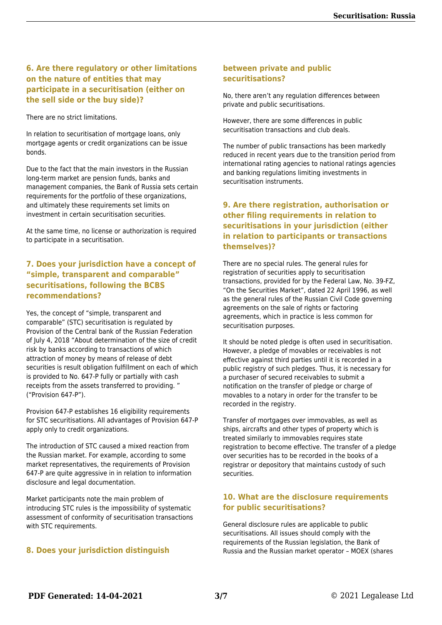#### **6. Are there regulatory or other limitations on the nature of entities that may participate in a securitisation (either on the sell side or the buy side)?**

There are no strict limitations.

In relation to securitisation of mortgage loans, only mortgage agents or credit organizations can be issue bonds.

Due to the fact that the main investors in the Russian long-term market are pension funds, banks and management companies, the Bank of Russia sets certain requirements for the portfolio of these organizations, and ultimately these requirements set limits on investment in certain securitisation securities.

At the same time, no license or authorization is required to participate in a securitisation.

#### **7. Does your jurisdiction have a concept of "simple, transparent and comparable" securitisations, following the BCBS recommendations?**

Yes, the concept of "simple, transparent and comparable" (STC) securitisation is regulated by Provision of the Central bank of the Russian Federation of July 4, 2018 "About determination of the size of credit risk by banks according to transactions of which attraction of money by means of release of debt securities is result obligation fulfillment on each of which is provided to No. 647-P fully or partially with cash receipts from the assets transferred to providing. " ("Provision 647-P").

Provision 647-P establishes 16 eligibility requirements for STC securitisations. All advantages of Provision 647-P apply only to credit organizations.

The introduction of STC caused a mixed reaction from the Russian market. For example, according to some market representatives, the requirements of Provision 647-P are quite aggressive in in relation to information disclosure and legal documentation.

Market participants note the main problem of introducing STC rules is the impossibility of systematic assessment of conformity of securitisation transactions with STC requirements.

#### **8. Does your jurisdiction distinguish**

#### **between private and public securitisations?**

No, there aren't any regulation differences between private and public securitisations.

However, there are some differences in public securitisation transactions and club deals.

The number of public transactions has been markedly reduced in recent years due to the transition period from international rating agencies to national ratings agencies and banking regulations limiting investments in securitisation instruments.

#### **9. Are there registration, authorisation or other filing requirements in relation to securitisations in your jurisdiction (either in relation to participants or transactions themselves)?**

There are no special rules. The general rules for registration of securities apply to securitisation transactions, provided for by the Federal Law, No. 39-FZ, "On the Securities Market", dated 22 April 1996, as well as the general rules of the Russian Civil Code governing agreements on the sale of rights or factoring agreements, which in practice is less common for securitisation purposes.

It should be noted pledge is often used in securitisation. However, a pledge of movables or receivables is not effective against third parties until it is recorded in a public registry of such pledges. Thus, it is necessary for a purchaser of secured receivables to submit a notification on the transfer of pledge or charge of movables to a notary in order for the transfer to be recorded in the registry.

Transfer of mortgages over immovables, as well as ships, aircrafts and other types of property which is treated similarly to immovables requires state registration to become effective. The transfer of a pledge over securities has to be recorded in the books of a registrar or depository that maintains custody of such securities.

#### **10. What are the disclosure requirements for public securitisations?**

General disclosure rules are applicable to public securitisations. All issues should comply with the requirements of the Russian legislation, the Bank of Russia and the Russian market operator – MOEX (shares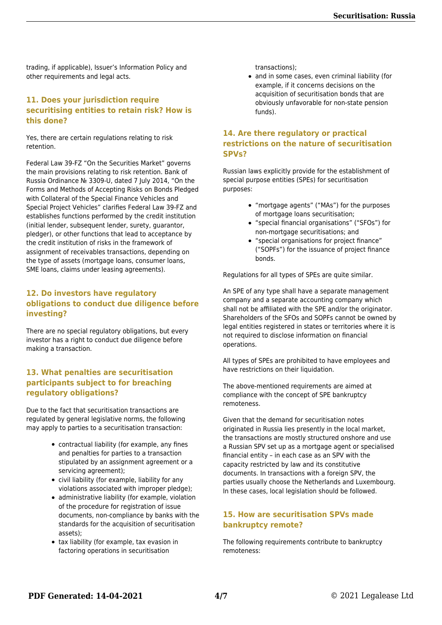trading, if applicable), Issuer's Information Policy and other requirements and legal acts.

#### **11. Does your jurisdiction require securitising entities to retain risk? How is this done?**

Yes, there are certain regulations relating to risk retention.

Federal Law 39-FZ "On the Securities Market" governs the main provisions relating to risk retention. Bank of Russia Ordinance № 3309-U, dated 7 July 2014, "On the Forms and Methods of Accepting Risks on Bonds Pledged with Collateral of the Special Finance Vehicles and Special Project Vehicles" clarifies Federal Law 39-FZ and establishes functions performed by the credit institution (initial lender, subsequent lender, surety, guarantor, pledger), or other functions that lead to acceptance by the credit institution of risks in the framework of assignment of receivables transactions, depending on the type of assets (mortgage loans, consumer loans, SME loans, claims under leasing agreements).

#### **12. Do investors have regulatory obligations to conduct due diligence before investing?**

There are no special regulatory obligations, but every investor has a right to conduct due diligence before making a transaction.

#### **13. What penalties are securitisation participants subject to for breaching regulatory obligations?**

Due to the fact that securitisation transactions are regulated by general legislative norms, the following may apply to parties to a securitisation transaction:

- contractual liability (for example, any fines and penalties for parties to a transaction stipulated by an assignment agreement or a servicing agreement);
- civil liability (for example, liability for any violations associated with improper pledge);
- administrative liability (for example, violation of the procedure for registration of issue documents, non-compliance by banks with the standards for the acquisition of securitisation assets);
- tax liability (for example, tax evasion in factoring operations in securitisation

transactions);

• and in some cases, even criminal liability (for example, if it concerns decisions on the acquisition of securitisation bonds that are obviously unfavorable for non-state pension funds).

#### **14. Are there regulatory or practical restrictions on the nature of securitisation SPVs?**

Russian laws explicitly provide for the establishment of special purpose entities (SPEs) for securitisation purposes:

- "mortgage agents" ("MAs") for the purposes of mortgage loans securitisation;
- "special financial organisations" ("SFOs") for non-mortgage securitisations; and
- "special organisations for project finance" ("SOPFs") for the issuance of project finance bonds.

Regulations for all types of SPEs are quite similar.

An SPE of any type shall have a separate management company and a separate accounting company which shall not be affiliated with the SPE and/or the originator. Shareholders of the SFOs and SOPFs cannot be owned by legal entities registered in states or territories where it is not required to disclose information on financial operations.

All types of SPEs are prohibited to have employees and have restrictions on their liquidation.

The above-mentioned requirements are aimed at compliance with the concept of SPE bankruptcy remoteness.

Given that the demand for securitisation notes originated in Russia lies presently in the local market, the transactions are mostly structured onshore and use a Russian SPV set up as a mortgage agent or specialised financial entity – in each case as an SPV with the capacity restricted by law and its constitutive documents. In transactions with a foreign SPV, the parties usually choose the Netherlands and Luxembourg. In these cases, local legislation should be followed.

#### **15. How are securitisation SPVs made bankruptcy remote?**

The following requirements contribute to bankruptcy remoteness: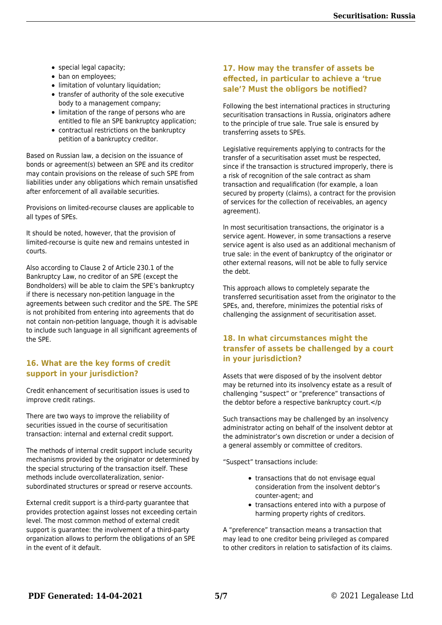- special legal capacity;
- ban on employees;
- limitation of voluntary liquidation;
- transfer of authority of the sole executive body to a management company;
- limitation of the range of persons who are entitled to file an SPE bankruptcy application;
- contractual restrictions on the bankruptcy petition of a bankruptcy creditor.

Based on Russian law, a decision on the issuance of bonds or agreement(s) between an SPE and its creditor may contain provisions on the release of such SPE from liabilities under any obligations which remain unsatisfied after enforcement of all available securities.

Provisions on limited-recourse clauses are applicable to all types of SPEs.

It should be noted, however, that the provision of limited-recourse is quite new and remains untested in courts.

Also according to Clause 2 of Article 230.1 of the Bankruptcy Law, no creditor of an SPE (except the Bondholders) will be able to claim the SPE's bankruptcy if there is necessary non-petition language in the agreements between such creditor and the SPE. The SPE is not prohibited from entering into agreements that do not contain non-petition language, though it is advisable to include such language in all significant agreements of the SPE.

#### **16. What are the key forms of credit support in your jurisdiction?**

Credit enhancement of securitisation issues is used to improve credit ratings.

There are two ways to improve the reliability of securities issued in the course of securitisation transaction: internal and external credit support.

The methods of internal credit support include security mechanisms provided by the originator or determined by the special structuring of the transaction itself. These methods include overcollateralization, seniorsubordinated structures or spread or reserve accounts.

External credit support is a third-party guarantee that provides protection against losses not exceeding certain level. The most common method of external credit support is guarantee: the involvement of a third-party organization allows to perform the obligations of an SPE in the event of it default.

#### **17. How may the transfer of assets be effected, in particular to achieve a 'true sale'? Must the obligors be notified?**

Following the best international practices in structuring securitisation transactions in Russia, originators adhere to the principle of true sale. True sale is ensured by transferring assets to SPEs.

Legislative requirements applying to contracts for the transfer of a securitisation asset must be respected, since if the transaction is structured improperly, there is a risk of recognition of the sale contract as sham transaction and requalification (for example, a loan secured by property (claims), a contract for the provision of services for the collection of receivables, an agency agreement).

In most securitisation transactions, the originator is a service agent. However, in some transactions a reserve service agent is also used as an additional mechanism of true sale: in the event of bankruptcy of the originator or other external reasons, will not be able to fully service the debt.

This approach allows to completely separate the transferred securitisation asset from the originator to the SPEs, and, therefore, minimizes the potential risks of challenging the assignment of securitisation asset.

#### **18. In what circumstances might the transfer of assets be challenged by a court in your jurisdiction?**

Assets that were disposed of by the insolvent debtor may be returned into its insolvency estate as a result of challenging "suspect" or "preference" transactions of the debtor before a respective bankruptcy court.</p

Such transactions may be challenged by an insolvency administrator acting on behalf of the insolvent debtor at the administrator's own discretion or under a decision of a general assembly or committee of creditors.

"Suspect" transactions include:

- transactions that do not envisage equal consideration from the insolvent debtor's counter-agent; and
- transactions entered into with a purpose of harming property rights of creditors.

A "preference" transaction means a transaction that may lead to one creditor being privileged as compared to other creditors in relation to satisfaction of its claims.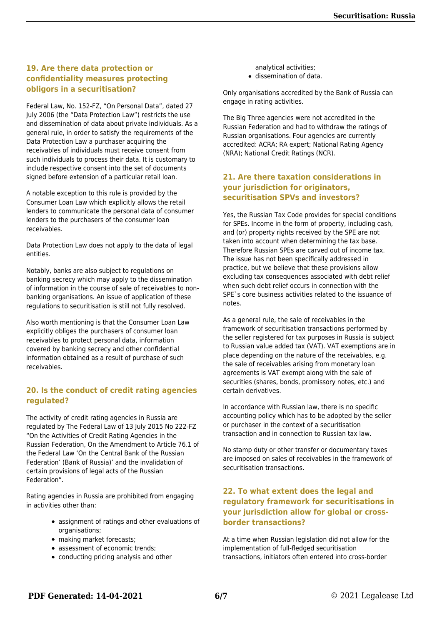#### **19. Are there data protection or confidentiality measures protecting obligors in a securitisation?**

Federal Law, No. 152-FZ, "On Personal Data", dated 27 July 2006 (the "Data Protection Law") restricts the use and dissemination of data about private individuals. As a general rule, in order to satisfy the requirements of the Data Protection Law a purchaser acquiring the receivables of individuals must receive consent from such individuals to process their data. It is customary to include respective consent into the set of documents signed before extension of a particular retail loan.

A notable exception to this rule is provided by the Consumer Loan Law which explicitly allows the retail lenders to communicate the personal data of consumer lenders to the purchasers of the consumer loan receivables.

Data Protection Law does not apply to the data of legal entities.

Notably, banks are also subject to regulations on banking secrecy which may apply to the dissemination of information in the course of sale of receivables to nonbanking organisations. An issue of application of these regulations to securitisation is still not fully resolved.

Also worth mentioning is that the Consumer Loan Law explicitly obliges the purchasers of consumer loan receivables to protect personal data, information covered by banking secrecy and other confidential information obtained as a result of purchase of such receivables.

#### **20. Is the conduct of credit rating agencies regulated?**

The activity of credit rating agencies in Russia are regulated by The Federal Law of 13 July 2015 No 222-FZ "On the Activities of Credit Rating Agencies in the Russian Federation, On the Amendment to Article 76.1 of the Federal Law 'On the Central Bank of the Russian Federation' (Bank of Russia)' and the invalidation of certain provisions of legal acts of the Russian Federation".

Rating agencies in Russia are prohibited from engaging in activities other than:

- assignment of ratings and other evaluations of organisations;
- making market forecasts:
- assessment of economic trends:
- conducting pricing analysis and other

analytical activities; dissemination of data.

Only organisations accredited by the Bank of Russia can engage in rating activities.

The Big Three agencies were not accredited in the Russian Federation and had to withdraw the ratings of Russian organisations. Four agencies are currently accredited: ACRA; RA expert; National Rating Agency (NRA); National Credit Ratings (NCR).

#### **21. Are there taxation considerations in your jurisdiction for originators, securitisation SPVs and investors?**

Yes, the Russian Tax Code provides for special conditions for SPEs. Income in the form of property, including cash, and (or) property rights received by the SPE are not taken into account when determining the tax base. Therefore Russian SPEs are carved out of income tax. The issue has not been specifically addressed in practice, but we believe that these provisions allow excluding tax consequences associated with debt relief when such debt relief occurs in connection with the SPE`s core business activities related to the issuance of notes.

As a general rule, the sale of receivables in the framework of securitisation transactions performed by the seller registered for tax purposes in Russia is subject to Russian value added tax (VAT). VAT exemptions are in place depending on the nature of the receivables, e.g. the sale of receivables arising from monetary loan agreements is VAT exempt along with the sale of securities (shares, bonds, promissory notes, etc.) and certain derivatives.

In accordance with Russian law, there is no specific accounting policy which has to be adopted by the seller or purchaser in the context of a securitisation transaction and in connection to Russian tax law.

No stamp duty or other transfer or documentary taxes are imposed on sales of receivables in the framework of securitisation transactions.

#### **22. To what extent does the legal and regulatory framework for securitisations in your jurisdiction allow for global or crossborder transactions?**

At a time when Russian legislation did not allow for the implementation of full-fledged securitisation transactions, initiators often entered into cross-border